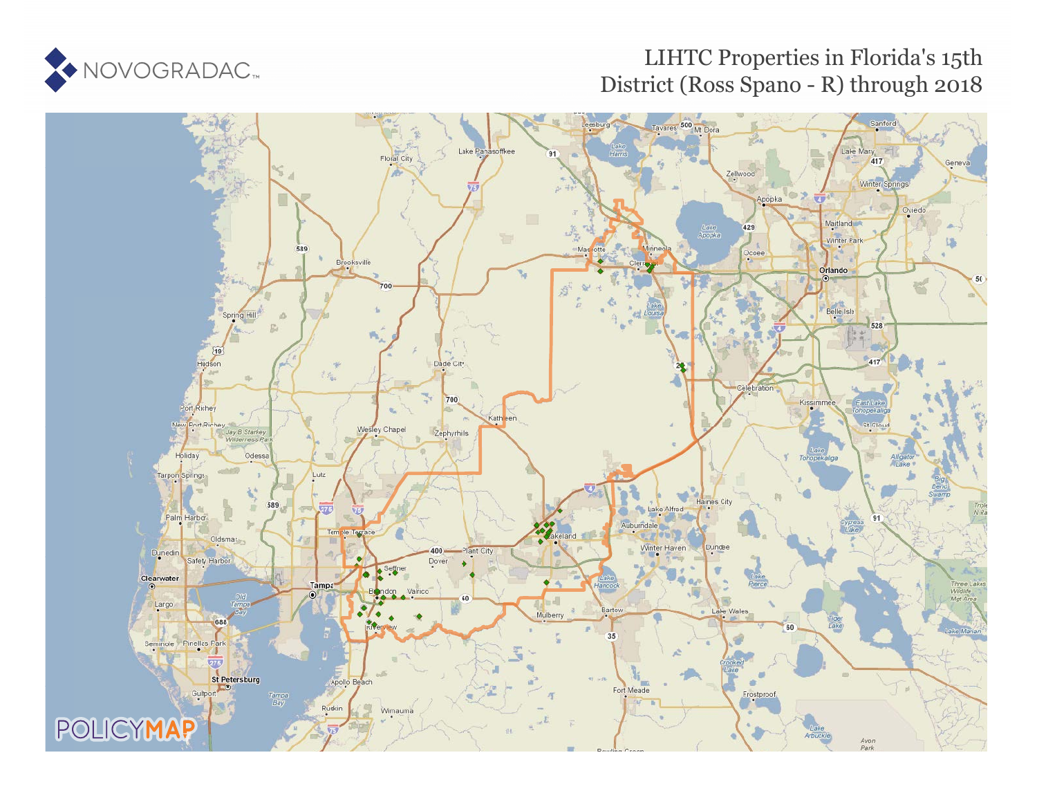

### LIHTC Properties in Florida's 15th District (Ross Spano - R) through 2018

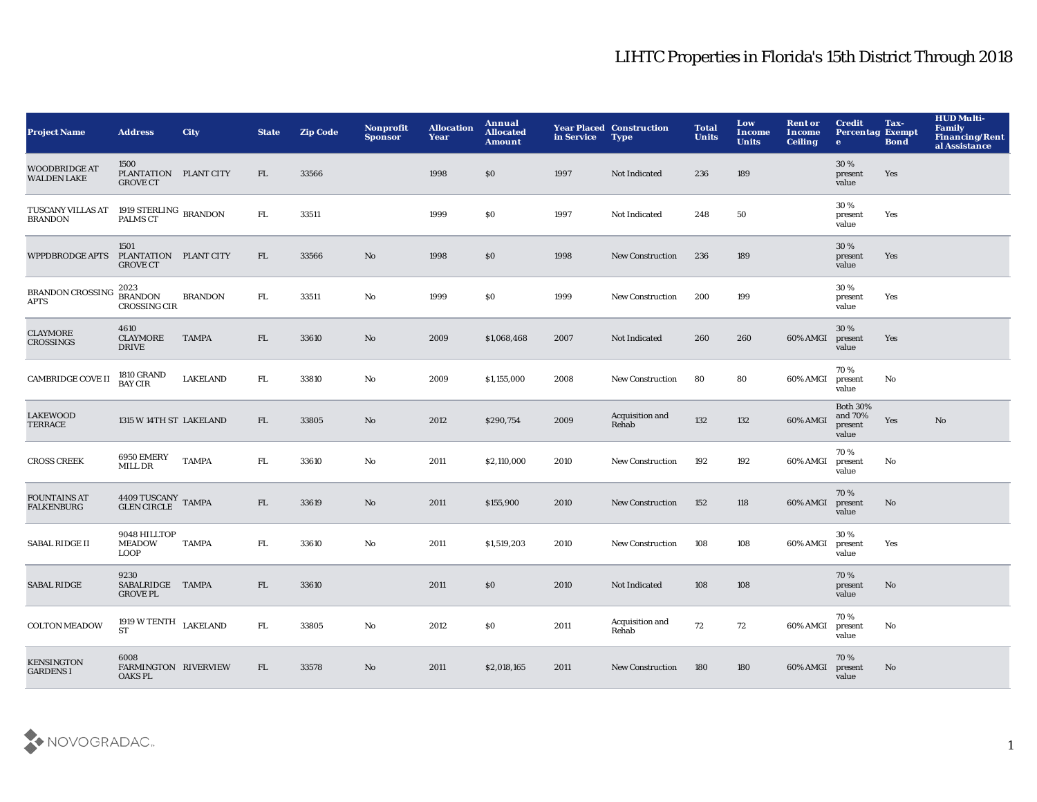| <b>Project Name</b>                        | <b>Address</b>                                   | <b>City</b>     | <b>State</b> | <b>Zip Code</b> | <b>Nonprofit</b><br><b>Sponsor</b> | <b>Allocation</b><br>Year | Annual<br><b>Allocated</b><br><b>Amount</b> | in Service | <b>Year Placed Construction</b><br><b>Type</b> | <b>Total</b><br><b>Units</b> | Low<br>Income<br><b>Units</b> | <b>Rent or</b><br>Income<br><b>Ceiling</b> | <b>Credit</b><br><b>Percentag Exempt</b><br>$\mathbf{e}$ | Tax-<br><b>Bond</b> | <b>HUD Multi-</b><br><b>Family</b><br><b>Financing/Rent</b><br>al Assistance |
|--------------------------------------------|--------------------------------------------------|-----------------|--------------|-----------------|------------------------------------|---------------------------|---------------------------------------------|------------|------------------------------------------------|------------------------------|-------------------------------|--------------------------------------------|----------------------------------------------------------|---------------------|------------------------------------------------------------------------------|
| <b>WOODBRIDGE AT</b><br><b>WALDEN LAKE</b> | 1500<br>PLANTATION PLANT CITY<br><b>GROVE CT</b> |                 | FL           | 33566           |                                    | 1998                      | \$0                                         | 1997       | Not Indicated                                  | 236                          | 189                           |                                            | 30 %<br>present<br>value                                 | Yes                 |                                                                              |
| TUSCANY VILLAS AT<br><b>BRANDON</b>        | 1919 STERLING BRANDON<br>PALMS CT                |                 | FL.          | 33511           |                                    | 1999                      | \$0                                         | 1997       | Not Indicated                                  | 248                          | 50                            |                                            | 30%<br>present<br>value                                  | Yes                 |                                                                              |
| <b>WPPDBRODGE APTS</b>                     | 1501<br>PLANTATION PLANT CITY<br><b>GROVE CT</b> |                 | FL.          | 33566           | No                                 | 1998                      | \$0                                         | 1998       | <b>New Construction</b>                        | 236                          | 189                           |                                            | 30%<br>present<br>value                                  | Yes                 |                                                                              |
| <b>BRANDON CROSSING</b><br><b>APTS</b>     | 2023<br><b>BRANDON</b><br><b>CROSSING CIR</b>    | <b>BRANDON</b>  | FL           | 33511           | No                                 | 1999                      | \$0                                         | 1999       | <b>New Construction</b>                        | 200                          | 199                           |                                            | 30 %<br>present<br>value                                 | Yes                 |                                                                              |
| <b>CLAYMORE</b><br>CROSSINGS               | 4610<br><b>CLAYMORE</b><br><b>DRIVE</b>          | <b>TAMPA</b>    | FL           | 33610           | No                                 | 2009                      | \$1,068,468                                 | 2007       | Not Indicated                                  | 260                          | 260                           | 60% AMGI                                   | 30%<br>present<br>value                                  | Yes                 |                                                                              |
| <b>CAMBRIDGE COVE II</b>                   | <b>1810 GRAND</b><br><b>BAY CIR</b>              | <b>LAKELAND</b> | FL.          | 33810           | No                                 | 2009                      | \$1,155,000                                 | 2008       | <b>New Construction</b>                        | 80                           | 80                            | 60% AMGI                                   | 70%<br>present<br>value                                  | No                  |                                                                              |
| <b>LAKEWOOD</b><br><b>TERRACE</b>          | 1315 W 14TH ST LAKELAND                          |                 | FL.          | 33805           | No                                 | 2012                      | \$290,754                                   | 2009       | Acquisition and<br>Rehab                       | 132                          | 132                           | 60% AMGI                                   | <b>Both 30%</b><br>and 70%<br>present<br>value           | Yes                 | No                                                                           |
| <b>CROSS CREEK</b>                         | 6950 EMERY<br>MILL DR                            | <b>TAMPA</b>    | FL.          | 33610           | No                                 | 2011                      | \$2,110,000                                 | 2010       | <b>New Construction</b>                        | 192                          | 192                           | 60% AMGI                                   | 70%<br>present<br>value                                  | No                  |                                                                              |
| <b>FOUNTAINS AT</b><br><b>FALKENBURG</b>   | 4409 TUSCANY TAMPA<br>GLEN CIRCLE TAMPA          |                 | FL.          | 33619           | No                                 | 2011                      | \$155,900                                   | 2010       | <b>New Construction</b>                        | 152                          | 118                           | 60% AMGI                                   | 70%<br>present<br>value                                  | No                  |                                                                              |
| <b>SABAL RIDGE II</b>                      | 9048 HILLTOP<br><b>MEADOW</b><br><b>LOOP</b>     | <b>TAMPA</b>    | FL           | 33610           | No                                 | 2011                      | \$1,519,203                                 | 2010       | <b>New Construction</b>                        | 108                          | 108                           | 60% AMGI                                   | 30%<br>present<br>value                                  | Yes                 |                                                                              |
| <b>SABAL RIDGE</b>                         | 9230<br>SABALRIDGE TAMPA<br><b>GROVE PL</b>      |                 | FL.          | 33610           |                                    | 2011                      | \$0                                         | 2010       | Not Indicated                                  | 108                          | 108                           |                                            | 70%<br>present<br>value                                  | No                  |                                                                              |
| <b>COLTON MEADOW</b>                       | 1919 W TENTH $$\tt LAKELAND$$<br><b>ST</b>       |                 | FL.          | 33805           | No                                 | 2012                      | \$0                                         | 2011       | Acquisition and<br>Rehab                       | 72                           | 72                            | 60% AMGI                                   | 70%<br>present<br>value                                  | No                  |                                                                              |
| <b>KENSINGTON</b><br><b>GARDENS I</b>      | 6008<br>FARMINGTON RIVERVIEW<br><b>OAKS PL</b>   |                 | FL           | 33578           | No                                 | 2011                      | \$2,018,165                                 | 2011       | <b>New Construction</b>                        | 180                          | 180                           | 60% AMGI                                   | 70%<br>present<br>value                                  | No                  |                                                                              |

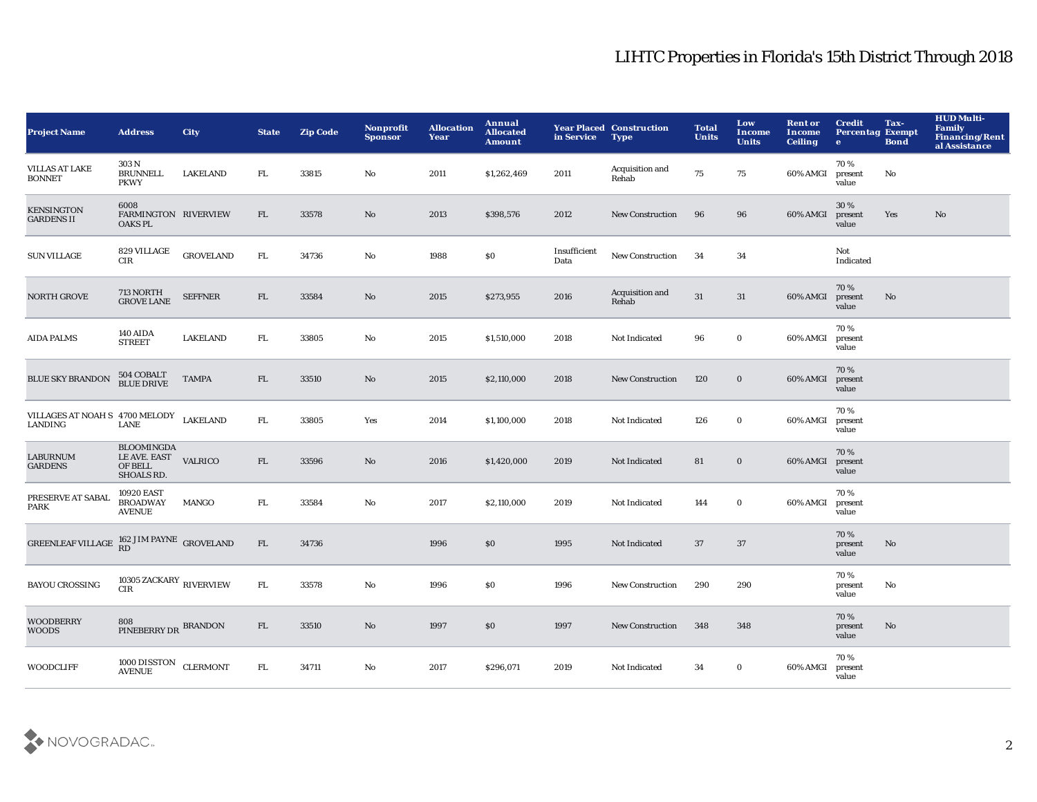| <b>Project Name</b>                                | <b>Address</b>                                                    | City             | <b>State</b> | <b>Zip Code</b> | Nonprofit<br><b>Sponsor</b> | <b>Allocation</b><br>Year | Annual<br><b>Allocated</b><br><b>Amount</b> | in Service           | <b>Year Placed Construction</b><br><b>Type</b> | <b>Total</b><br><b>Units</b> | Low<br><b>Income</b><br><b>Units</b> | <b>Rent or</b><br><b>Income</b><br><b>Ceiling</b> | <b>Credit</b><br><b>Percentag Exempt</b><br>$\bullet$ | Tax-<br><b>Bond</b> | <b>HUD Multi-</b><br>Family<br><b>Financing/Rent</b><br>al Assistance |
|----------------------------------------------------|-------------------------------------------------------------------|------------------|--------------|-----------------|-----------------------------|---------------------------|---------------------------------------------|----------------------|------------------------------------------------|------------------------------|--------------------------------------|---------------------------------------------------|-------------------------------------------------------|---------------------|-----------------------------------------------------------------------|
| <b>VILLAS AT LAKE</b><br><b>BONNET</b>             | 303N<br><b>BRUNNELL</b><br><b>PKWY</b>                            | <b>LAKELAND</b>  | FL.          | 33815           | No                          | 2011                      | \$1,262,469                                 | 2011                 | Acquisition and<br>Rehab                       | 75                           | 75                                   | 60% AMGI                                          | 70%<br>present<br>value                               | No                  |                                                                       |
| <b>KENSINGTON</b><br><b>GARDENS II</b>             | 6008<br>FARMINGTON RIVERVIEW<br><b>OAKS PL</b>                    |                  | FL           | 33578           | No                          | 2013                      | \$398,576                                   | 2012                 | <b>New Construction</b>                        | 96                           | 96                                   | 60% AMGI                                          | 30 %<br>present<br>value                              | Yes                 | $\mathbf{N}\mathbf{o}$                                                |
| <b>SUN VILLAGE</b>                                 | 829 VILLAGE<br><b>CIR</b>                                         | <b>GROVELAND</b> | FL.          | 34736           | No                          | 1988                      | \$0                                         | Insufficient<br>Data | <b>New Construction</b>                        | 34                           | 34                                   |                                                   | Not<br>Indicated                                      |                     |                                                                       |
| <b>NORTH GROVE</b>                                 | 713 NORTH<br><b>GROVE LANE</b>                                    | <b>SEFFNER</b>   | ${\rm FL}$   | 33584           | No                          | 2015                      | \$273,955                                   | 2016                 | Acquisition and<br>Rehab                       | $31\,$                       | 31                                   | 60% AMGI                                          | 70%<br>present<br>value                               | No                  |                                                                       |
| <b>AIDA PALMS</b>                                  | 140 AIDA<br><b>STREET</b>                                         | <b>LAKELAND</b>  | ${\rm FL}$   | 33805           | No                          | 2015                      | \$1,510,000                                 | 2018                 | Not Indicated                                  | 96                           | $\mathbf 0$                          | 60% AMGI                                          | 70%<br>present<br>value                               |                     |                                                                       |
| <b>BLUE SKY BRANDON</b>                            | 504 COBALT<br>BLUE DRIVE                                          | <b>TAMPA</b>     | FL           | 33510           | No                          | 2015                      | \$2,110,000                                 | 2018                 | <b>New Construction</b>                        | 120                          | $\bf{0}$                             | 60% AMGI                                          | 70%<br>present<br>value                               |                     |                                                                       |
| VILLAGES AT NOAH S 4700 MELODY LAKELAND<br>LANDING | <b>LANE</b>                                                       |                  | ${\rm FL}$   | 33805           | Yes                         | 2014                      | \$1,100,000                                 | 2018                 | Not Indicated                                  | 126                          | $\mathbf 0$                          | 60% AMGI                                          | 70%<br>present<br>value                               |                     |                                                                       |
| LABURNUM<br><b>GARDENS</b>                         | <b>BLOOMINGDA</b><br>LE AVE. EAST<br>OF BELL<br><b>SHOALS RD.</b> | <b>VALRICO</b>   | FL           | 33596           | No                          | 2016                      | \$1,420,000                                 | 2019                 | Not Indicated                                  | 81                           | $\bf{0}$                             | 60% AMGI                                          | 70%<br>present<br>value                               |                     |                                                                       |
| PRESERVE AT SABAL<br>PARK                          | 10920 EAST<br><b>BROADWAY</b><br><b>AVENUE</b>                    | <b>MANGO</b>     | FL.          | 33584           | $\mathbf{No}$               | 2017                      | \$2,110,000                                 | 2019                 | Not Indicated                                  | 144                          | $\mathbf 0$                          | 60% AMGI                                          | 70%<br>present<br>value                               |                     |                                                                       |
| <b>GREENLEAF VILLAGE</b>                           | $162$ JIM PAYNE $\,$ GROVELAND RD                                 |                  | ${\rm FL}$   | 34736           |                             | 1996                      | \$0                                         | 1995                 | Not Indicated                                  | 37                           | 37                                   |                                                   | 70%<br>present<br>value                               | No                  |                                                                       |
| <b>BAYOU CROSSING</b>                              | 10305 ZACKARY RIVERVIEW<br><b>CIR</b>                             |                  | FL.          | 33578           | $\mathbf{No}$               | 1996                      | \$0                                         | 1996                 | <b>New Construction</b>                        | 290                          | 290                                  |                                                   | 70%<br>present<br>value                               | No                  |                                                                       |
| <b>WOODBERRY</b><br><b>WOODS</b>                   | 808<br>PINEBERRY DR BRANDON                                       |                  | FL.          | 33510           | No                          | 1997                      | \$0                                         | 1997                 | <b>New Construction</b>                        | 348                          | 348                                  |                                                   | 70 %<br>present<br>value                              | No                  |                                                                       |
| <b>WOODCLIFF</b>                                   | 1000 DISSTON CLERMONT<br><b>AVENUE</b>                            |                  | FL.          | 34711           | No                          | 2017                      | \$296,071                                   | 2019                 | Not Indicated                                  | 34                           | $\bf{0}$                             | 60% AMGI                                          | 70%<br>present<br>value                               |                     |                                                                       |

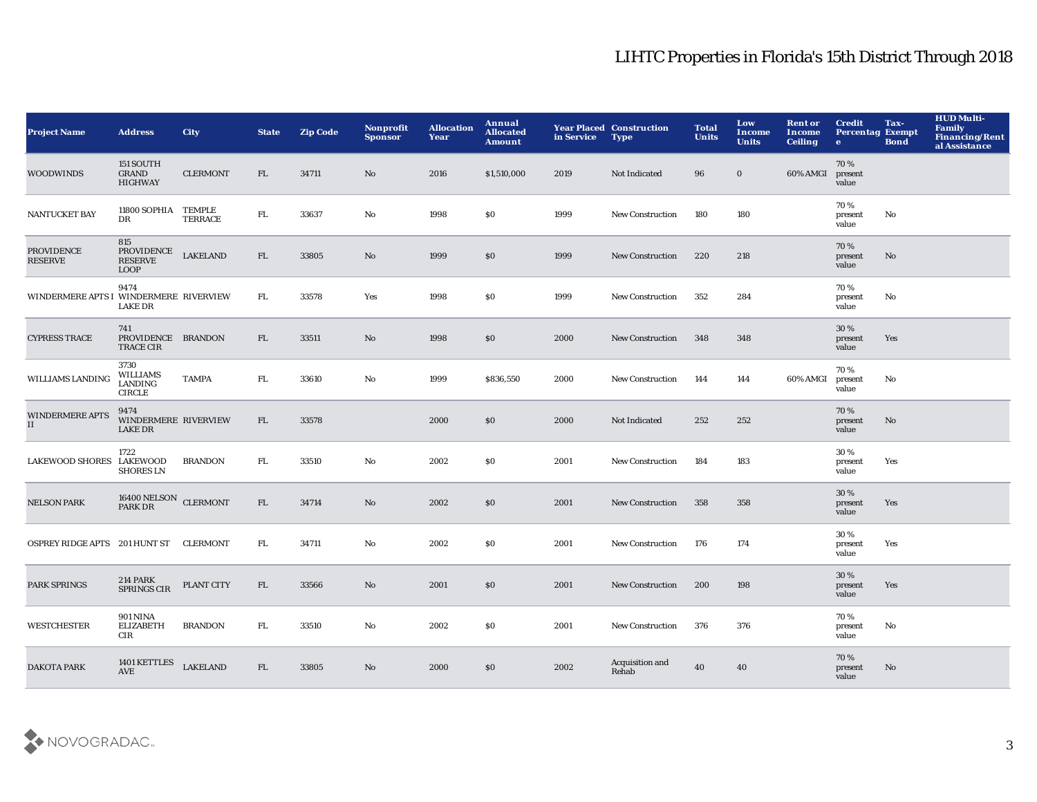| <b>Project Name</b>                    | <b>Address</b>                                      | <b>City</b>     | <b>State</b> | <b>Zip Code</b> | Nonprofit<br><b>Sponsor</b> | <b>Allocation</b><br>Year | Annual<br><b>Allocated</b><br><b>Amount</b> | in Service | <b>Year Placed Construction</b><br><b>Type</b> | <b>Total</b><br><b>Units</b> | Low<br><b>Income</b><br><b>Units</b> | <b>Rent or</b><br>Income<br><b>Ceiling</b> | <b>Credit</b><br><b>Percentag Exempt</b><br>$\bullet$ | Tax-<br><b>Bond</b> | <b>HUD Multi-</b><br>Family<br><b>Financing/Rent</b><br>al Assistance |
|----------------------------------------|-----------------------------------------------------|-----------------|--------------|-----------------|-----------------------------|---------------------------|---------------------------------------------|------------|------------------------------------------------|------------------------------|--------------------------------------|--------------------------------------------|-------------------------------------------------------|---------------------|-----------------------------------------------------------------------|
| <b>WOODWINDS</b>                       | 151 SOUTH<br><b>GRAND</b><br><b>HIGHWAY</b>         | <b>CLERMONT</b> | FL           | 34711           | No                          | 2016                      | \$1,510,000                                 | 2019       | Not Indicated                                  | 96                           | $\bf{0}$                             | 60% AMGI                                   | 70%<br>present<br>value                               |                     |                                                                       |
| NANTUCKET BAY                          | 11800 SOPHIA TEMPLE<br>DR                           | <b>TERRACE</b>  | ${\rm FL}$   | 33637           | No                          | 1998                      | <b>SO</b>                                   | 1999       | <b>New Construction</b>                        | 180                          | 180                                  |                                            | 70%<br>present<br>value                               | No                  |                                                                       |
| <b>PROVIDENCE</b><br><b>RESERVE</b>    | 815<br>PROVIDENCE<br>RESERVE<br><b>LOOP</b>         | <b>LAKELAND</b> | FL.          | 33805           | No                          | 1999                      | \$0                                         | 1999       | New Construction                               | 220                          | 218                                  |                                            | 70%<br>present<br>value                               | No.                 |                                                                       |
| WINDERMERE APTS I WINDERMERE RIVERVIEW | 9474<br><b>LAKE DR</b>                              |                 | FL.          | 33578           | Yes                         | 1998                      | \$0                                         | 1999       | <b>New Construction</b>                        | 352                          | 284                                  |                                            | 70%<br>present<br>value                               | No                  |                                                                       |
| <b>CYPRESS TRACE</b>                   | 741<br>PROVIDENCE BRANDON<br><b>TRACE CIR</b>       |                 | FL           | 33511           | No                          | 1998                      | \$0                                         | 2000       | <b>New Construction</b>                        | 348                          | 348                                  |                                            | 30 %<br>present<br>value                              | Yes                 |                                                                       |
| <b>WILLIAMS LANDING</b>                | 3730<br>WILLIAMS<br><b>LANDING</b><br><b>CIRCLE</b> | <b>TAMPA</b>    | FL.          | 33610           | No                          | 1999                      | \$836,550                                   | 2000       | <b>New Construction</b>                        | 144                          | 144                                  | 60% AMGI                                   | 70%<br>present<br>value                               | No                  |                                                                       |
| <b>WINDERMERE APTS</b><br>II           | 9474<br>WINDERMERE RIVERVIEW<br><b>LAKE DR</b>      |                 | FL           | 33578           |                             | 2000                      | \$0                                         | 2000       | Not Indicated                                  | 252                          | 252                                  |                                            | 70%<br>present<br>value                               | No                  |                                                                       |
| LAKEWOOD SHORES LAKEWOOD               | 1722<br><b>SHORES LN</b>                            | <b>BRANDON</b>  | FL.          | 33510           | No                          | 2002                      | \$0                                         | 2001       | <b>New Construction</b>                        | 184                          | 183                                  |                                            | 30%<br>present<br>value                               | Yes                 |                                                                       |
| <b>NELSON PARK</b>                     | $16400 \, \rm NELSON$ CLERMONT PARK DR              |                 | FL           | 34714           | No                          | 2002                      | \$0                                         | 2001       | <b>New Construction</b>                        | 358                          | 358                                  |                                            | 30%<br>present<br>value                               | Yes                 |                                                                       |
| OSPREY RIDGE APTS 201 HUNT ST CLERMONT |                                                     |                 | FL           | 34711           | No                          | 2002                      | <b>SO</b>                                   | 2001       | <b>New Construction</b>                        | 176                          | 174                                  |                                            | 30%<br>present<br>value                               | Yes                 |                                                                       |
| <b>PARK SPRINGS</b>                    | <b>214 PARK</b><br>SPRINGS CIR                      | PLANT CITY      | FL           | 33566           | No                          | 2001                      | \$0                                         | 2001       | <b>New Construction</b>                        | 200                          | 198                                  |                                            | 30 %<br>present<br>value                              | Yes                 |                                                                       |
| <b>WESTCHESTER</b>                     | <b>901 NINA</b><br><b>ELIZABETH</b><br>CIR          | <b>BRANDON</b>  | FL.          | 33510           | No                          | 2002                      | <b>SO</b>                                   | 2001       | New Construction                               | 376                          | 376                                  |                                            | 70%<br>present<br>value                               | No                  |                                                                       |
| <b>DAKOTA PARK</b>                     | 1401 KETTLES<br><b>AVE</b>                          | <b>LAKELAND</b> | FL           | 33805           | N <sub>o</sub>              | 2000                      | \$0                                         | 2002       | Acquisition and<br>Rehab                       | 40                           | 40                                   |                                            | 70%<br>present<br>value                               | No.                 |                                                                       |

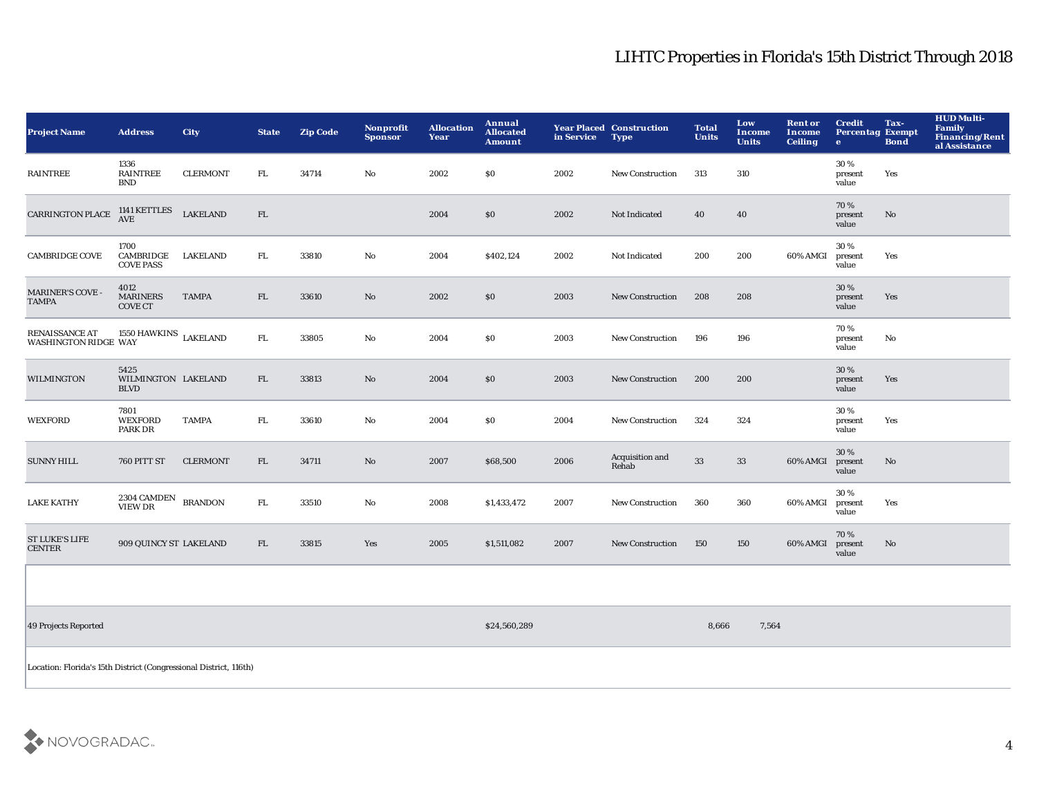| <b>Project Name</b>                           | <b>Address</b>                                                    | <b>City</b>     | <b>State</b> | <b>Zip Code</b> | <b>Nonprofit</b><br><b>Sponsor</b> | <b>Allocation</b><br>Year | Annual<br><b>Allocated</b><br><b>Amount</b> | in Service | <b>Year Placed Construction</b><br><b>Type</b> | <b>Total</b><br><b>Units</b> | Low<br>Income<br><b>Units</b> | <b>Rent or</b><br><b>Income</b><br><b>Ceiling</b> | <b>Credit</b><br><b>Percentag Exempt</b><br>$\bullet$ | Tax-<br><b>Bond</b> | <b>HUD Multi-</b><br>Family<br><b>Financing/Rent</b><br>al Assistance |
|-----------------------------------------------|-------------------------------------------------------------------|-----------------|--------------|-----------------|------------------------------------|---------------------------|---------------------------------------------|------------|------------------------------------------------|------------------------------|-------------------------------|---------------------------------------------------|-------------------------------------------------------|---------------------|-----------------------------------------------------------------------|
| <b>RAINTREE</b>                               | 1336<br><b>RAINTREE</b><br><b>BND</b>                             | <b>CLERMONT</b> | FL           | 34714           | $\mathbf {No}$                     | 2002                      | \$0                                         | 2002       | New Construction                               | 313                          | 310                           |                                                   | 30%<br>present<br>value                               | Yes                 |                                                                       |
| <b>CARRINGTON PLACE</b>                       | 1141 KETTLES<br><b>AVE</b>                                        | <b>LAKELAND</b> | FL           |                 |                                    | 2004                      | \$0                                         | 2002       | Not Indicated                                  | 40                           | 40                            |                                                   | 70%<br>present<br>value                               | No                  |                                                                       |
| <b>CAMBRIDGE COVE</b>                         | 1700<br>CAMBRIDGE<br><b>COVE PASS</b>                             | <b>LAKELAND</b> | FL           | 33810           | $\mathbf {No}$                     | 2004                      | \$402,124                                   | 2002       | Not Indicated                                  | 200                          | 200                           | 60% AMGI                                          | 30%<br>present<br>value                               | Yes                 |                                                                       |
| <b>MARINER'S COVE -</b><br><b>TAMPA</b>       | 4012<br><b>MARINERS</b><br><b>COVE CT</b>                         | <b>TAMPA</b>    | ${\rm FL}$   | 33610           | No                                 | 2002                      | \$0                                         | 2003       | New Construction                               | 208                          | 208                           |                                                   | 30%<br>present<br>value                               | Yes                 |                                                                       |
| RENAISSANCE AT<br><b>WASHINGTON RIDGE WAY</b> | $1550\,\mbox{HAWKINS}\;$ LAKELAND                                 |                 | FL           | 33805           | $\mathbf{N}\mathbf{o}$             | 2004                      | \$0                                         | 2003       | <b>New Construction</b>                        | 196                          | 196                           |                                                   | 70%<br>present<br>value                               | No                  |                                                                       |
| <b>WILMINGTON</b>                             | 5425<br>WILMINGTON LAKELAND<br><b>BLVD</b>                        |                 | FL           | 33813           | $\mathbf {No}$                     | 2004                      | \$0                                         | 2003       | New Construction                               | 200                          | 200                           |                                                   | 30 %<br>present<br>value                              | Yes                 |                                                                       |
| <b>WEXFORD</b>                                | 7801<br><b>WEXFORD</b><br>PARK DR                                 | <b>TAMPA</b>    | FL           | 33610           | No                                 | 2004                      | \$0                                         | 2004       | New Construction                               | 324                          | 324                           |                                                   | 30 %<br>present<br>value                              | Yes                 |                                                                       |
| <b>SUNNY HILL</b>                             | 760 PITT ST                                                       | <b>CLERMONT</b> | FL.          | 34711           | No                                 | 2007                      | \$68,500                                    | 2006       | Acquisition and<br>Rehab                       | 33                           | 33                            | 60% AMGI                                          | 30 %<br>present<br>value                              | No                  |                                                                       |
| <b>LAKE KATHY</b>                             | 2304 CAMDEN<br><b>VIEW DR</b>                                     | <b>BRANDON</b>  | ${\rm FL}$   | 33510           | $\mathbf {No}$                     | 2008                      | \$1,433,472                                 | 2007       | <b>New Construction</b>                        | 360                          | 360                           | 60% AMGI                                          | 30%<br>present<br>value                               | Yes                 |                                                                       |
| <b>ST LUKE'S LIFE</b><br><b>CENTER</b>        | 909 QUINCY ST LAKELAND                                            |                 | FL.          | 33815           | Yes                                | 2005                      | \$1,511,082                                 | 2007       | <b>New Construction</b>                        | 150                          | 150                           | 60% AMGI                                          | 70%<br>present<br>value                               | No                  |                                                                       |
|                                               |                                                                   |                 |              |                 |                                    |                           |                                             |            |                                                |                              |                               |                                                   |                                                       |                     |                                                                       |
| 49 Projects Reported                          |                                                                   |                 |              |                 |                                    |                           | \$24,560,289                                |            |                                                | 8,666                        | 7,564                         |                                                   |                                                       |                     |                                                                       |
|                                               | Location: Florida's 15th District (Congressional District, 116th) |                 |              |                 |                                    |                           |                                             |            |                                                |                              |                               |                                                   |                                                       |                     |                                                                       |